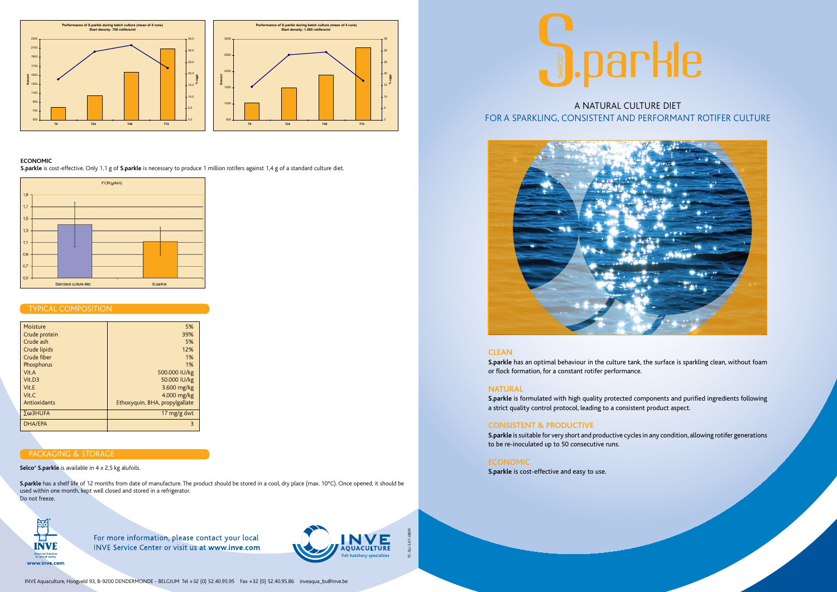TC-EU-S.01-0409

## **Clean**

**S.parkle** has an optimal behaviour in the culture tank, the surface is sparkling clean, without foam or flock formation, for a constant rotifer performance.

# **Natural**

**S.parkle** is formulated with high quality protected components and purified ingredients following a strict quality control protocol, leading to a consistent product aspect.

# **Consistent & productive**

**S.parkle** is suitable for very short and productive cycles in any condition, allowing rotifer generations to be re-inoculated up to 50 consecutive runs.

# **Economic**

**S.parkle** is cost-effective and easy to use.



# TYPICAL COMPOSITION

## **Economic**

**S.parkle** is cost-effective. Only 1,1 g of **S.parkle** is necessary to produce 1 million rotifers against 1,4 g of a standard culture diet.



A NATURAL CULTURE DIET





**Selco® S.parkle** is available in 4 x 2,5 kg alufoils.

**S.parkle** has a shelf life of 12 months from date of manufacture. The product should be stored in a cool, dry place (max. 10°C). Once opened, it should be used within one month, kept well closed and stored in a refrigerator. Do not freeze.



For more information, please contact your local **INVE Service Center or visit us at www.inve.com** 



| 5%                             |
|--------------------------------|
| 39%                            |
| 5%                             |
| 12%                            |
| 1%                             |
| 1%                             |
| 500.000 IU/kg                  |
| 50.000 IU/kg                   |
| 3.600 mg/kg                    |
| 4.000 mg/kg                    |
| Ethoxyquin, BHA, propylgallate |
| 17 $mg/g$ dwt                  |
| $\overline{3}$                 |
|                                |

# **PACKAGING & STORAGE**